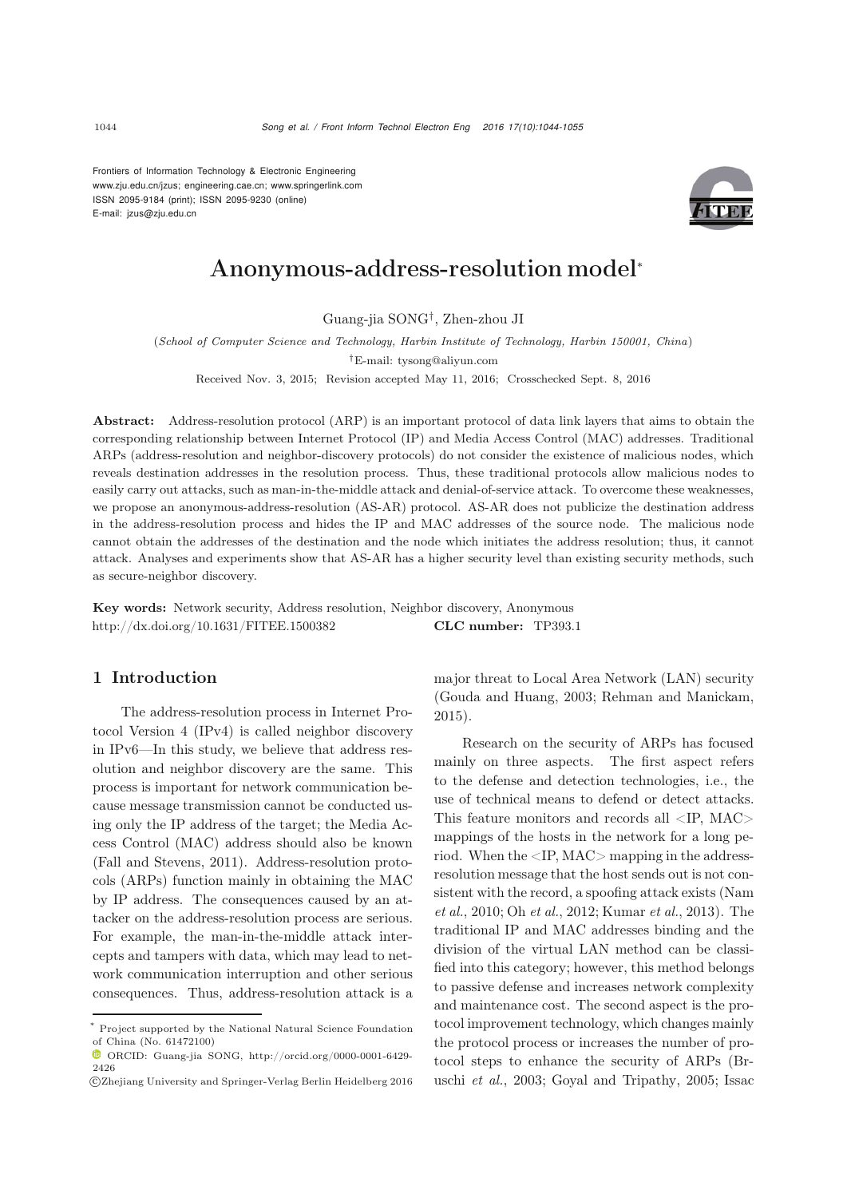Frontiers of Information Technology & Electronic Engineering www.zju.edu.cn/jzus; engineering.cae.cn; www.springerlink.com ISSN 2095-9184 (print); ISSN 2095-9230 (online) E-mail: jzus@zju.edu.cn



# Anonymous-address-resolution model<sup>∗</sup>

Guang-jia SONG†, Zhen-zhou JI

(*School of Computer Science and Technology, Harbin Institute of Technology, Harbin 150001, China*)

*†*E-mail: tysong@aliyun.com

Received Nov. 3, 2015; Revision accepted May 11, 2016; Crosschecked Sept. 8, 2016

Abstract: Address-resolution protocol (ARP) is an important protocol of data link layers that aims to obtain the corresponding relationship between Internet Protocol (IP) and Media Access Control (MAC) addresses. Traditional ARPs (address-resolution and neighbor-discovery protocols) do not consider the existence of malicious nodes, which reveals destination addresses in the resolution process. Thus, these traditional protocols allow malicious nodes to easily carry out attacks, such as man-in-the-middle attack and denial-of-service attack. To overcome these weaknesses, we propose an anonymous-address-resolution (AS-AR) protocol. AS-AR does not publicize the destination address in the address-resolution process and hides the IP and MAC addresses of the source node. The malicious node cannot obtain the addresses of the destination and the node which initiates the address resolution; thus, it cannot attack. Analyses and experiments show that AS-AR has a higher security level than existing security methods, such as secure-neighbor discovery.

Key words: Network security, Address resolution, Neighbor discovery, Anonymous http://dx.doi.org/10.1631/FITEE.1500382 CLC number: TP393.1

# 1 Introduction

The address-resolution process in Internet Protocol Version 4 (IPv4) is called neighbor discovery in IPv6—In this study, we believe that address resolution and neighbor discovery are the same. This process is important for network communication because message transmission cannot be conducted using only the IP address of the target; the Media Access Control (MAC) address should also be known [\(Fall and Stevens](#page-10-0), [2011\)](#page-10-0). Address-resolution protocols (ARPs) function mainly in obtaining the MAC by IP address. The consequences caused by an attacker on the address-resolution process are serious. For example, the man-in-the-middle attack intercepts and tampers with data, which may lead to network communication interruption and other serious consequences. Thus, address-resolution attack is a

major threat to Local Area Network (LAN) security [\(Gouda and Huang](#page-10-1), [2003;](#page-10-1) [Rehman and Manickam](#page-11-0), [2015](#page-11-0)).

Research on the security of ARPs has focused mainly on three aspects. The first aspect refers to the defense and detection technologies, i.e., the use of technical means to defend or detect attacks. This feature monitors and records all <IP, MAC> mappings of the hosts in the network for a long period. When the <IP, MAC> mapping in the addressresolution message that the host sends out is not consistent with the record, a [spoofing](#page-10-2) [attack](#page-10-2) [exists](#page-10-2) [\(](#page-10-2)Nam *et al.*, [2010](#page-10-2); Oh *[et al.](#page-11-1)*, [2012](#page-11-1); [Kumar](#page-10-3) *et al.*, [2013\)](#page-10-3). The traditional IP and MAC addresses binding and the division of the virtual LAN method can be classified into this category; however, this method belongs to passive defense and increases network complexity and maintenance cost. The second aspect is the protocol improvement technology, which changes mainly the protocol process or increases the number of protocol steps [to](#page-10-4) [enhance](#page-10-4) [the](#page-10-4) [security](#page-10-4) [of](#page-10-4) [ARPs](#page-10-4) [\(](#page-10-4)Bruschi *et al.*, [2003](#page-10-4); [Goyal and Tripathy, 2005;](#page-10-5) Issac

<sup>\*</sup> Project supported by the National Natural Science Foundation of China (No. 61472100)

ORCID: Guang-jia SONG, http://orcid.org/0000-0001-6429- 2426

c Zhejiang University and Springer-Verlag Berlin Heidelberg 2016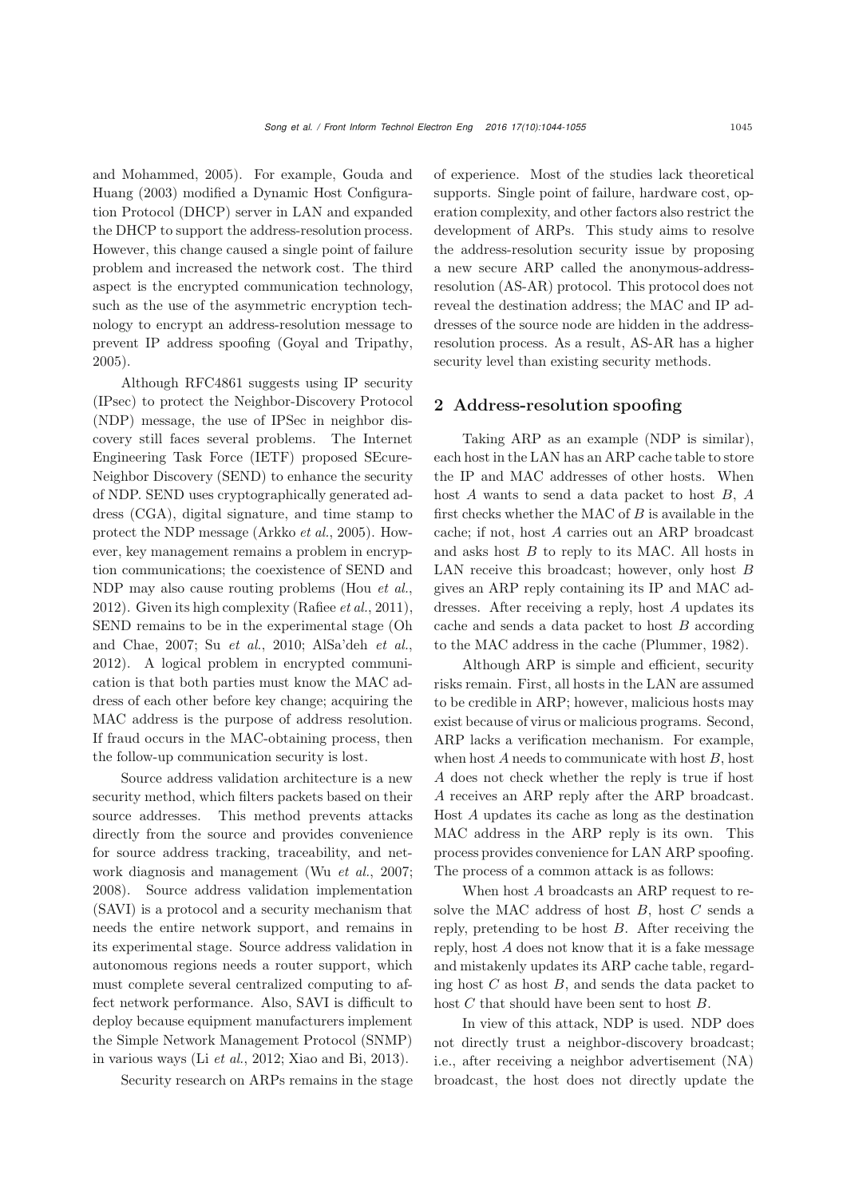and [Mohammed,](#page-10-1) [2005](#page-10-6)[\).](#page-10-1) [For](#page-10-1) [example,](#page-10-1) Gouda and Huang [\(2003](#page-10-1)) modified a Dynamic Host Configuration Protocol (DHCP) server in LAN and expanded the DHCP to support the address-resolution process. However, this change caused a single point of failure problem and increased the network cost. The third aspect is the encrypted communication technology, such as the use of the asymmetric encryption technology to encrypt an address-resolution message to prevent IP address spoofing [\(Goyal and Tripathy,](#page-10-5) [2005](#page-10-5)).

Although RFC4861 suggests using IP security (IPsec) to protect the Neighbor-Discovery Protocol (NDP) message, the use of IPSec in neighbor discovery still faces several problems. The Internet Engineering Task Force (IETF) proposed SEcure-Neighbor Discovery (SEND) to enhance the security of NDP. SEND uses cryptographically generated address (CGA), digital signature, and time stamp to protect the NDP message [\(Arkko](#page-10-7) *et al.*, [2005](#page-10-7)). However, key management remains a problem in encryption communications; the coexistence of SEND and NDP may also cause routing problems (Hou *[et al.](#page-10-8)*, [2012](#page-10-8)). Given its high complexity [\(Rafiee](#page-11-2) *et al.*, [2011\)](#page-11-2), SEND re[mains](#page-11-3) [to](#page-11-3) [be](#page-11-3) [in](#page-11-3) [the](#page-11-3) [experimental](#page-11-3) [stage](#page-11-3) [\(](#page-11-3)Oh and Chae, [2007](#page-11-3); Su *[et al.](#page-11-4)*, [2010](#page-11-4); [AlSa'deh](#page-10-9) *et al.*, [2012](#page-10-9)). A logical problem in encrypted communication is that both parties must know the MAC address of each other before key change; acquiring the MAC address is the purpose of address resolution. If fraud occurs in the MAC-obtaining process, then the follow-up communication security is lost.

Source address validation architecture is a new security method, which filters packets based on their source addresses. This method prevents attacks directly from the source and provides convenience for source address tracking, traceability, and network diagnosis and management (Wu *et al.*, 2007; 2008). Source address validation implementation (SAVI) is a protocol and a security mechanism that needs the entire network support, and remains in its experimental stage. Source address validation in autonomous regions needs a router support, which must complete several centralized computing to affect network performance. Also, SAVI is difficult to deploy because equipment manufacturers implement the Simple Network Management Protocol (SNMP) in various ways (Li *[et al.](#page-10-10)*, [2012](#page-10-10); [Xiao and Bi](#page-11-5), [2013\)](#page-11-5).

Security research on ARPs remains in the stage

of experience. Most of the studies lack theoretical supports. Single point of failure, hardware cost, operation complexity, and other factors also restrict the development of ARPs. This study aims to resolve the address-resolution security issue by proposing a new secure ARP called the anonymous-addressresolution (AS-AR) protocol. This protocol does not reveal the destination address; the MAC and IP addresses of the source node are hidden in the addressresolution process. As a result, AS-AR has a higher security level than existing security methods.

# 2 Address-resolution spoofing

Taking ARP as an example (NDP is similar), each host in the LAN has an ARP cache table to store the IP and MAC addresses of other hosts. When host *A* wants to send a data packet to host *B*, *A* first checks whether the MAC of *B* is available in the cache; if not, host *A* carries out an ARP broadcast and asks host *B* to reply to its MAC. All hosts in LAN receive this broadcast; however, only host *B* gives an ARP reply containing its IP and MAC addresses. After receiving a reply, host *A* updates its cache and sends a data packet to host *B* according to the MAC address in the cache [\(Plummer, 1982\)](#page-11-6).

Although ARP is simple and efficient, security risks remain. First, all hosts in the LAN are assumed to be credible in ARP; however, malicious hosts may exist because of virus or malicious programs. Second, ARP lacks a verification mechanism. For example, when host *A* needs to communicate with host *B*, host *A* does not check whether the reply is true if host *A* receives an ARP reply after the ARP broadcast. Host *A* updates its cache as long as the destination MAC address in the ARP reply is its own. This process provides convenience for LAN ARP spoofing. The process of a common attack is as follows:

When host *A* broadcasts an ARP request to resolve the MAC address of host *B*, host *C* sends a reply, pretending to be host *B*. After receiving the reply, host *A* does not know that it is a fake message and mistakenly updates its ARP cache table, regarding host *C* as host *B*, and sends the data packet to host *C* that should have been sent to host *B*.

In view of this attack, NDP is used. NDP does not directly trust a neighbor-discovery broadcast; i.e., after receiving a neighbor advertisement (NA) broadcast, the host does not directly update the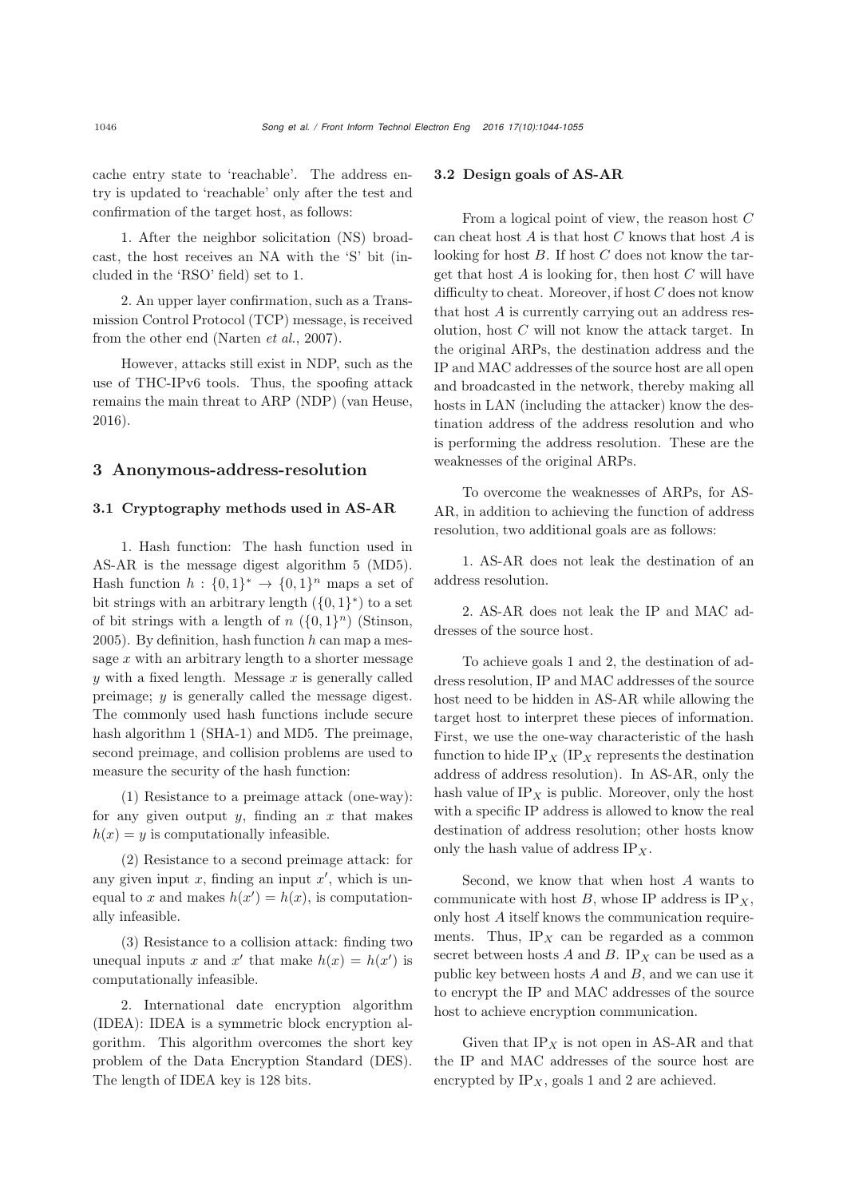cache entry state to 'reachable'. The address entry is updated to 'reachable' only after the test and confirmation of the target host, as follows:

1. After the neighbor solicitation (NS) broadcast, the host receives an NA with the 'S' bit (included in the 'RSO' field) set to 1.

2. An upper layer confirmation, such as a Transmission Control Protocol (TCP) message, is received from the other end [\(Narten](#page-11-7) *et al.*, [2007](#page-11-7)).

However, attacks still exist in NDP, such as the use of THC-IPv6 tools. Thus, the spoofing attack remains the main threat to ARP (NDP) [\(van Heuse](#page-11-8), [2016](#page-11-8)).

#### 3 Anonymous-address-resolution

## 3.1 Cryptography methods used in AS-AR

1. Hash function: The hash function used in AS-AR is the message digest algorithm 5 (MD5). Hash function  $h : \{0,1\}^* \to \{0,1\}^n$  maps a set of bit strings with an arbitrary length  $({0, 1}^*)$  to a set of bit strings with a length of  $n \left( \{0,1\}^n \right)$  [\(Stinson](#page-11-9), [2005](#page-11-9)). By definition, hash function *h* can map a message *x* with an arbitrary length to a shorter message *y* with a fixed length. Message *x* is generally called preimage; *y* is generally called the message digest. The commonly used hash functions include secure hash algorithm 1 (SHA-1) and MD5. The preimage, second preimage, and collision problems are used to measure the security of the hash function:

(1) Resistance to a preimage attack (one-way): for any given output  $y$ , finding an  $x$  that makes  $h(x) = y$  is computationally infeasible.

(2) Resistance to a second preimage attack: for any given input *x*, finding an input *x* , which is unequal to *x* and makes  $h(x') = h(x)$ , is computationally infeasible.

(3) Resistance to a collision attack: finding two unequal inputs x and x' that make  $h(x) = h(x')$  is computationally infeasible.

2. International date encryption algorithm (IDEA): IDEA is a symmetric block encryption algorithm. This algorithm overcomes the short key problem of the Data Encryption Standard (DES). The length of IDEA key is 128 bits.

#### 3.2 Design goals of AS-AR

From a logical point of view, the reason host *C* can cheat host *A* is that host *C* knows that host *A* is looking for host *B*. If host *C* does not know the target that host *A* is looking for, then host *C* will have difficulty to cheat. Moreover, if host *C* does not know that host *A* is currently carrying out an address resolution, host *C* will not know the attack target. In the original ARPs, the destination address and the IP and MAC addresses of the source host are all open and broadcasted in the network, thereby making all hosts in LAN (including the attacker) know the destination address of the address resolution and who is performing the address resolution. These are the weaknesses of the original ARPs.

To overcome the weaknesses of ARPs, for AS-AR, in addition to achieving the function of address resolution, two additional goals are as follows:

1. AS-AR does not leak the destination of an address resolution.

2. AS-AR does not leak the IP and MAC addresses of the source host.

To achieve goals 1 and 2, the destination of address resolution, IP and MAC addresses of the source host need to be hidden in AS-AR while allowing the target host to interpret these pieces of information. First, we use the one-way characteristic of the hash function to hide IP<sub>*X*</sub> (IP<sub>*X*</sub> represents the destination address of address resolution). In AS-AR, only the hash value of  $IP_X$  is public. Moreover, only the host with a specific IP address is allowed to know the real destination of address resolution; other hosts know only the hash value of address IP*<sup>X</sup>* .

Second, we know that when host *A* wants to communicate with host  $B$ , whose IP address is  $IP_X$ , only host *A* itself knows the communication requirements. Thus,  $IP_X$  can be regarded as a common secret between hosts  $A$  and  $B$ . IP<sub>X</sub> can be used as a public key between hosts *A* and *B*, and we can use it to encrypt the IP and MAC addresses of the source host to achieve encryption communication.

Given that  $IP_X$  is not open in AS-AR and that the IP and MAC addresses of the source host are encrypted by IP*X*, goals 1 and 2 are achieved.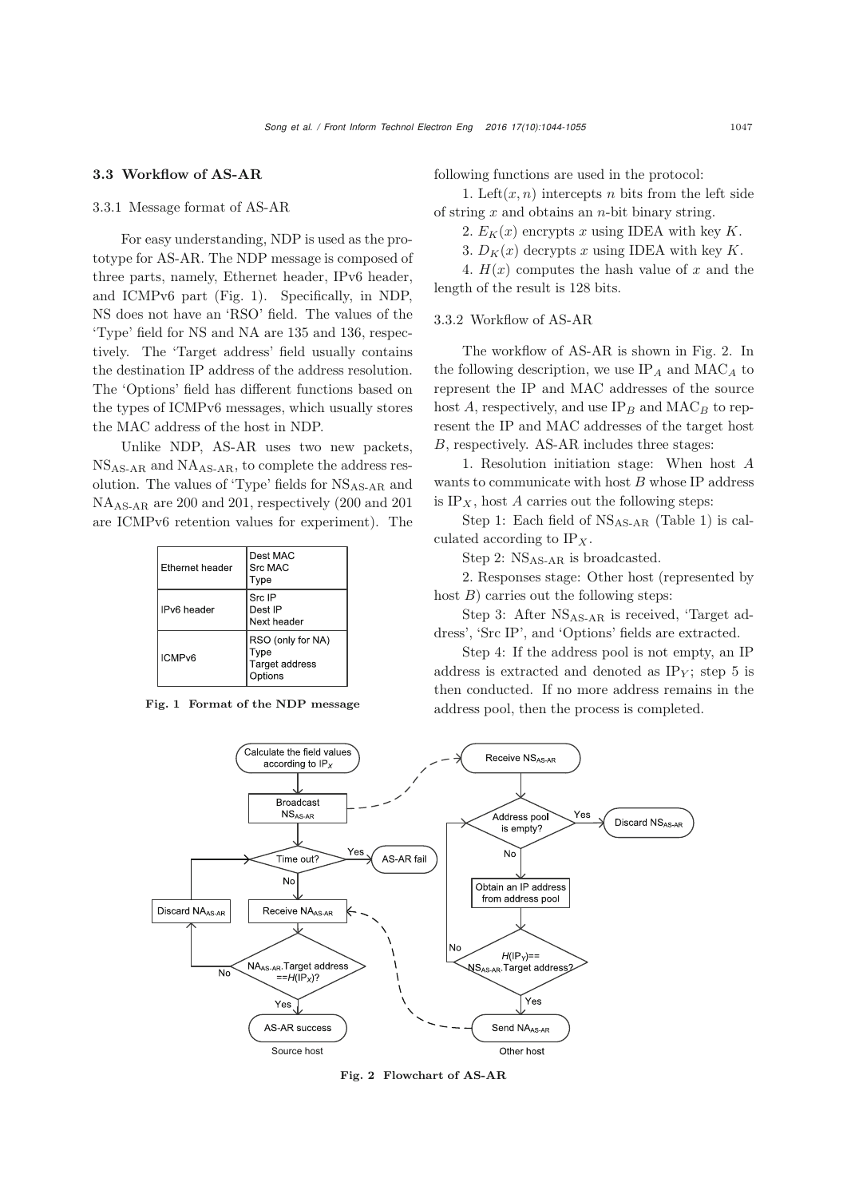#### 3.3 Workflow of AS-AR

#### 3.3.1 Message format of AS-AR

For easy understanding, NDP is used as the prototype for AS-AR. The NDP message is composed of three parts, namely, Ethernet header, IPv6 header, and ICMPv6 part (Fig. 1). Specifically, in NDP, NS does not have an 'RSO' field. The values of the 'Type' field for NS and NA are 135 and 136, respectively. The 'Target address' field usually contains the destination IP address of the address resolution. The 'Options' field has different functions based on the types of ICMPv6 messages, which usually stores the MAC address of the host in NDP.

Unlike NDP, AS-AR uses two new packets, NSAS-AR and NAAS-AR, to complete the address resolution. The values of 'Type' fields for NSAS-AR and NAAS-AR are 200 and 201, respectively (200 and 201 are ICMPv6 retention values for experiment). The

|  | <b>Ethernet header</b> | Dest MAC<br>Src MAC<br>Type                                   |  |  |
|--|------------------------|---------------------------------------------------------------|--|--|
|  | IPv6 header            | Src IP<br>Dest IP<br>Next header                              |  |  |
|  | ICMP <sub>v6</sub>     | RSO (only for NA)<br>Type<br>Target address<br><b>Options</b> |  |  |

Fig. 1 Format of the NDP message

following functions are used in the protocol:

1. Left $(x, n)$  intercepts *n* bits from the left side of string *x* and obtains an *n*-bit binary string.

2.  $E_K(x)$  encrypts x using IDEA with key K.

3.  $D_K(x)$  decrypts x using IDEA with key K.

4.  $H(x)$  computes the hash value of x and the length of the result is 128 bits.

3.3.2 Workflow of AS-AR

The workflow of AS-AR is shown in Fig. 2. In the following description, we use  $IP_A$  and  $MAC_A$  to represent the IP and MAC addresses of the source host  $A$ , respectively, and use  $IP_B$  and  $MAC_B$  to represent the IP and MAC addresses of the target host *B*, respectively. AS-AR includes three stages:

1. Resolution initiation stage: When host *A* wants to communicate with host *B* whose IP address is  $IP_X$ , host *A* carries out the following steps:

Step 1: Each field of NSAS-AR (Table 1) is calculated according to  $IP_X$ .

Step 2: NS<sub>AS-AR</sub> is broadcasted.

2. Responses stage: Other host (represented by host *B*) carries out the following steps:

Step 3: After  $NS<sub>AS-AR</sub>$  is received, 'Target address', 'Src IP', and 'Options' fields are extracted.

Step 4: If the address pool is not empty, an IP address is extracted and denoted as  $IP<sub>Y</sub>$ ; step 5 is then conducted. If no more address remains in the address pool, then the process is completed.



Fig. 2 Flowchart of AS-AR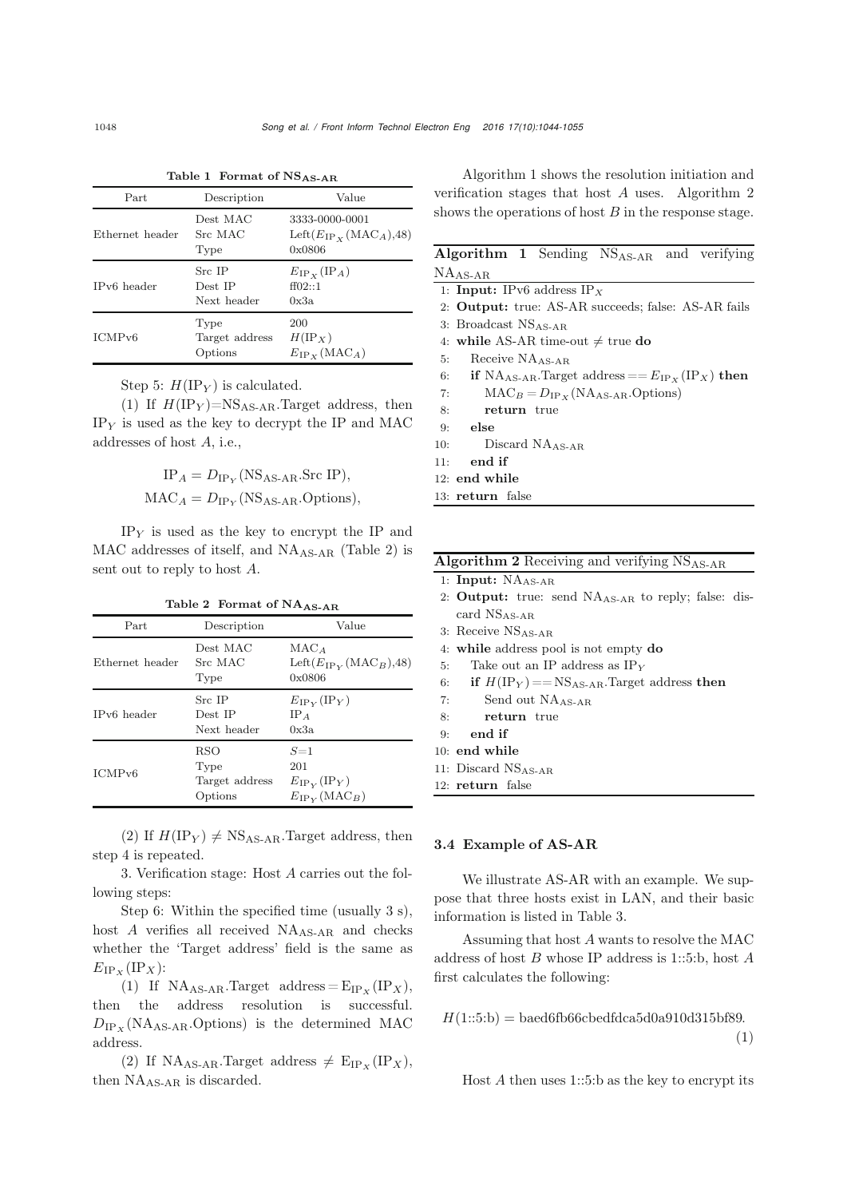| Part               | Description                       | Value                                                                      |  |
|--------------------|-----------------------------------|----------------------------------------------------------------------------|--|
| Ethernet header    | Dest MAC<br>Src MAC<br>Type       | 3333-0000-0001<br>Left $(E_{IP_{\mathbf{Y}}}(\text{MAC}_A), 48)$<br>0x0806 |  |
| IPv6 header        | Src IP<br>Dest IP<br>Next header  | $E_{\rm IP\,x\,(\rm IP_{{\cal A}})$<br>ff02::1<br>0x3a                     |  |
| ICMP <sub>v6</sub> | Type<br>Target address<br>Options | 200<br>$H(\rm{IP}_X)$<br>$E_{\rm IP\,\kappa}(\rm MAC_A)$                   |  |

Table 1 Format of NSAS-AR

Step 5:  $H(\text{IP}_Y)$  is calculated.

(1) If  $H(\text{IP}_Y)=\text{NS}_{\text{AS-AR}}$ . Target address, then  $IP<sub>Y</sub>$  is used as the key to decrypt the IP and MAC addresses of host *A*, i.e.,

$$
IP_A = D_{IP_Y} (NS_{AS-AR}.src IP),
$$
  

$$
MAC_A = D_{IP_Y} (NS_{AS-AR}.Options),
$$

IP*<sup>Y</sup>* is used as the key to encrypt the IP and  $MAC$  addresses of itself, and  $NA<sub>AS-AR</sub>$  (Table 2) is sent out to reply to host *A*.

| $\frac{1}{2}$ and $\frac{1}{2}$ and $\frac{1}{2}$ and $\frac{1}{2}$ and $\frac{1}{2}$ and $\frac{1}{2}$ and $\frac{1}{2}$ and $\frac{1}{2}$ and $\frac{1}{2}$ and $\frac{1}{2}$ and $\frac{1}{2}$ and $\frac{1}{2}$ and $\frac{1}{2}$ and $\frac{1}{2}$ and $\frac{1}{2}$ and $\frac{1}{2}$ a |                                                 |                                                                       |  |  |
|-----------------------------------------------------------------------------------------------------------------------------------------------------------------------------------------------------------------------------------------------------------------------------------------------|-------------------------------------------------|-----------------------------------------------------------------------|--|--|
| Part                                                                                                                                                                                                                                                                                          | Description                                     | Value                                                                 |  |  |
| Ethernet header                                                                                                                                                                                                                                                                               | Dest MAC<br>Src MAC<br>Type                     | MAC <sub>A</sub><br>Left $(E_{IP_V}(\text{MAC}_B), 48)$<br>0x0806     |  |  |
| IPv6 header                                                                                                                                                                                                                                                                                   | Src IP<br>Dest IP<br>Next header                | $E_{\rm IPV}({\rm IP}_Y)$<br>$IP_A$<br>0x3a                           |  |  |
| ICMP <sub>v6</sub>                                                                                                                                                                                                                                                                            | <b>RSO</b><br>Type<br>Target address<br>Options | $S=1$<br>201<br>$E_{\rm IPY}({\rm IP}_Y)$<br>$E_{\rm IPV}(\rm MAC_B)$ |  |  |

Table 2 Format of  $NA$ <sub>AS-AR</sub>

(2) If  $H(\text{IP}_Y) \neq \text{NS}_{\text{AS-AR}}$ . Target address, then step 4 is repeated.

3. Verification stage: Host *A* carries out the following steps:

Step 6: Within the specified time (usually 3 s), host *A* verifies all received NA<sub>AS-AR</sub> and checks whether the 'Target address' field is the same as  $E_{\text{IP}_X}(\text{IP}_X)$ :

(1) If  $NA_{AS-AR}$ .Target address =  $E_{IP_X}(IP_X)$ , then the address resolution is successful.  $D_{IP_X}(NA_{AS-AR}.Options)$  is the determined MAC address.

(2) If  $NA<sub>AS-AR</sub>.Target address  $\neq E<sub>IPX</sub>(IP<sub>X</sub>)$ ,$ then  $NA<sub>AS-AR</sub>$  is discarded.

Algorithm 1 shows the resolution initiation and verification stages that host *A* uses. Algorithm 2 shows the operations of host *B* in the response stage.

|     | Algorithm 1 Sending NS <sub>AS-AR</sub> and verifying                |
|-----|----------------------------------------------------------------------|
|     | $NAAS-AR$                                                            |
|     | 1: <b>Input:</b> IPv6 address $IP_X$                                 |
|     | 2: <b>Output:</b> true: AS-AR succeeds; false: AS-AR fails           |
|     | 3: Broadcast $NSAS-AB$                                               |
|     | 4: while AS-AR time-out $\neq$ true do                               |
| 5:  | Receive $NA_{AS-AB}$                                                 |
|     | 6: if NA <sub>AS-AR</sub> . Target address $== E_{IP_Y} (IP_X)$ then |
| 7:  | $MAC_B = D_{IP_X}(NA_{AS-AR}.Options)$                               |
| 8:  | return true                                                          |
| 9:  | else                                                                 |
|     | Discard $NA$ <sub>AS-AB</sub><br>10:                                 |
| 11: | end if                                                               |
|     | $12:$ end while                                                      |
|     | 13: return false                                                     |

|    | 1: Input: $NAAS-AR$                                                    |  |
|----|------------------------------------------------------------------------|--|
|    | 2: <b>Output:</b> true: send NA <sub>AS-AR</sub> to reply; false: dis- |  |
|    | card $NSAS-AR$                                                         |  |
|    | 3: Receive $NSAS-AB$                                                   |  |
|    | 4: while address pool is not empty do                                  |  |
| 5: | Take out an IP address as $IPY$                                        |  |
| 6: | if $H(\text{IP}_Y) = \text{NS}_{\text{AS-AR}}$ . Target address then   |  |

**Algorithm 2** Receiving and verifying  $NS<sub>AS-AR</sub>$ 

7: Send out NAAS-AR

- 8: return true
- 9: end if
- 10: end while
- 11: Discard NSAS-AR
- 12: return false

## 3.4 Example of AS-AR

We illustrate AS-AR with an example. We suppose that three hosts exist in LAN, and their basic information is listed in Table 3.

Assuming that host *A* wants to resolve the MAC address of host *B* whose IP address is 1::5:b, host *A* first calculates the following:

$$
H(1::5:b) = \text{baed6fb66cbedfdca5d0a910d315bf89.}
$$
\n
$$
(1)
$$

Host *A* then uses 1::5:b as the key to encrypt its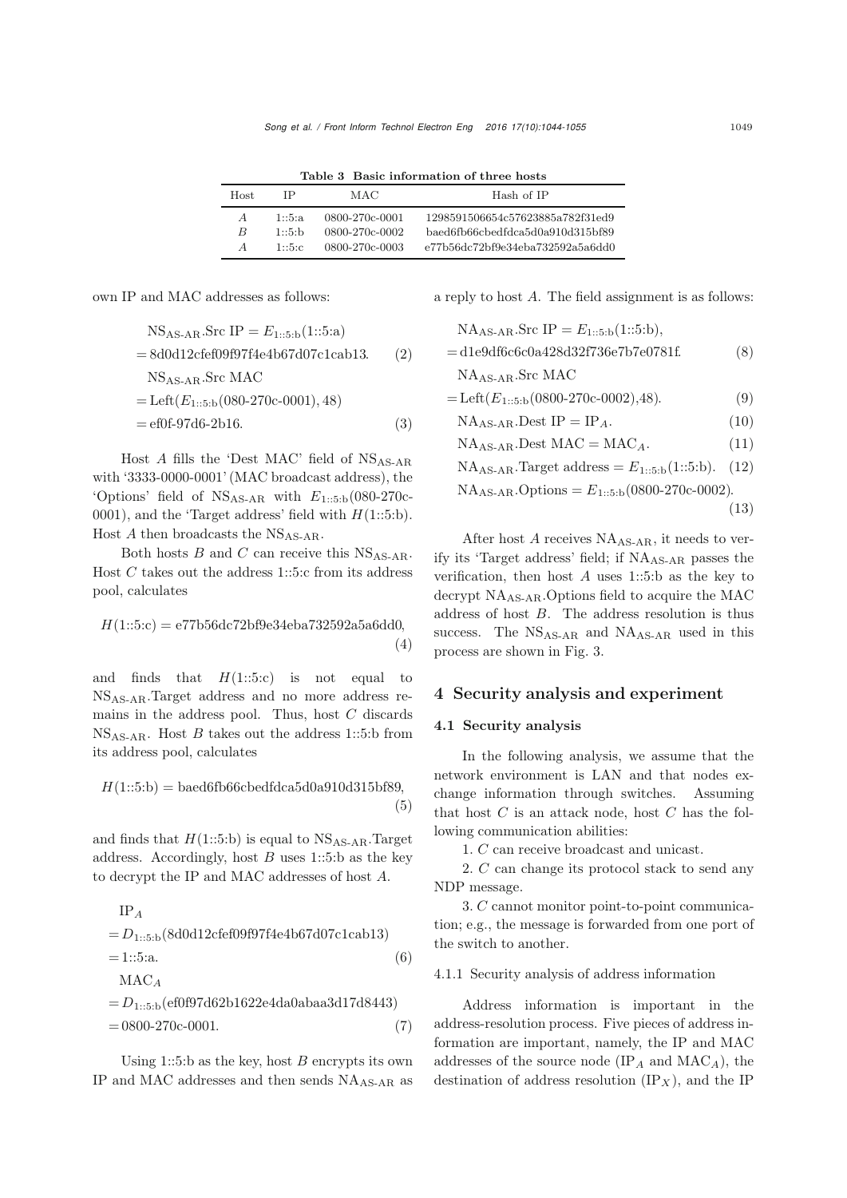Table 3 Basic information of three hosts

| Host. | IΡ       | MAC            | Hash of IP                       |
|-------|----------|----------------|----------------------------------|
| A     | 1:5:a    | 0800-270c-0001 | 1298591506654c57623885a782f31ed9 |
| B     | $1:5:$ h | 0800-270c-0002 | baed6fb66cbedfdca5d0a910d315bf89 |
| A     | 1:5.c.   | 0800-270c-0003 | e77b56dc72bf9e34eba732592a5a6dd0 |

own IP and MAC addresses as follows:

$$
NSAS-AR.Src IP = E1::5:b(1::5:a)
$$
  
= 8d0d12cfef09f97f4e4b67d07c1cab13. (2)  
NS<sub>AS-AR</sub>.Src MAC  
= Left(E<sub>1::5:b</sub>(080-270c-0001), 48)  
= ef0f-97d6-2b16. (3)

Host *A* fills the 'Dest MAC' field of NS<sub>AS-AR</sub> with '3333-0000-0001' (MAC broadcast address), the 'Options' field of NSAS-AR with *E*1::5:b(080-270c-0001), and the 'Target address' field with *H*(1::5:b). Host  $A$  then broadcasts the NS<sub>AS-AR</sub>.

Both hosts *B* and *C* can receive this  $NS<sub>AS-AR</sub>$ . Host *C* takes out the address 1::5:c from its address pool, calculates

$$
H(1::5:c) = e77b56dc72b9c34eba732592a5a6dd0,
$$
\n(4)

and finds that  $H(1::5::c)$  is not equal to NSAS-AR.Target address and no more address remains in the address pool. Thus, host *C* discards NSAS-AR. Host *B* takes out the address 1::5:b from its address pool, calculates

$$
H(1::5:b) = \text{baed6fb66cbedf dca5d0a910d315bf89},\tag{5}
$$

and finds that  $H(1::5:b)$  is equal to  $NS<sub>AS-AR</sub>$ . Target address. Accordingly, host *B* uses 1::5:b as the key to decrypt the IP and MAC addresses of host *A*.

IP<sub>A</sub>  
= 
$$
D_{1::5:b}
$$
(8d0d12cfef09f97f4e4b67d07c1cab13)  
= 1::5:a.  
MAC<sub>A</sub>  
=  $D_{1::5:b}$ (ef0f97d62b1622e4da0abaa3d17d8443)

 $= 0800 - 270c - 0001.$  (7)

Using 1::5:b as the key, host *B* encrypts its own IP and MAC addresses and then sends NAAS-AR as a reply to host *A*. The field assignment is as follows:

$$
NAAS-AR.Src IP = E1::5:b(1::5:b),
$$
  
= d1e9df6c6c0a428d32f736e7b7e0781f. (8)  

$$
NAAS-AR.Src MAC
$$
  
= Left(E<sub>1::5:b</sub>(0800-270c-0002),48). (9)  

$$
NAAS-AR.Dest IP = IPA. (10)
$$
NAAS-AR.Dest MAC = MACA. (11)
$$
NAAS-AR.Target address = E1::5:b(1::5:b). (12)
$$
NAAS-AR.Options = E1::5:b(0800-270c-0002).
$$
$$
$$
$$

(13)

After host *A* receives  $NA<sub>AS-AR</sub>$ , it needs to verify its 'Target address' field; if NAAS-AR passes the verification, then host *A* uses 1::5:b as the key to decrypt NAAS-AR.Options field to acquire the MAC address of host *B*. The address resolution is thus success. The  $NS<sub>AS-AR</sub>$  and  $NA<sub>AS-AR</sub>$  used in this process are shown in Fig. 3.

## 4 Security analysis and experiment

## 4.1 Security analysis

In the following analysis, we assume that the network environment is LAN and that nodes exchange information through switches. Assuming that host *C* is an attack node, host *C* has the following communication abilities:

1. *C* can receive broadcast and unicast.

2. *C* can change its protocol stack to send any NDP message.

3. *C* cannot monitor point-to-point communication; e.g., the message is forwarded from one port of the switch to another.

#### 4.1.1 Security analysis of address information

Address information is important in the address-resolution process. Five pieces of address information are important, namely, the IP and MAC addresses of the source node (IP*<sup>A</sup>* and MAC*A*), the destination of address resolution (IP*<sup>X</sup>* ), and the IP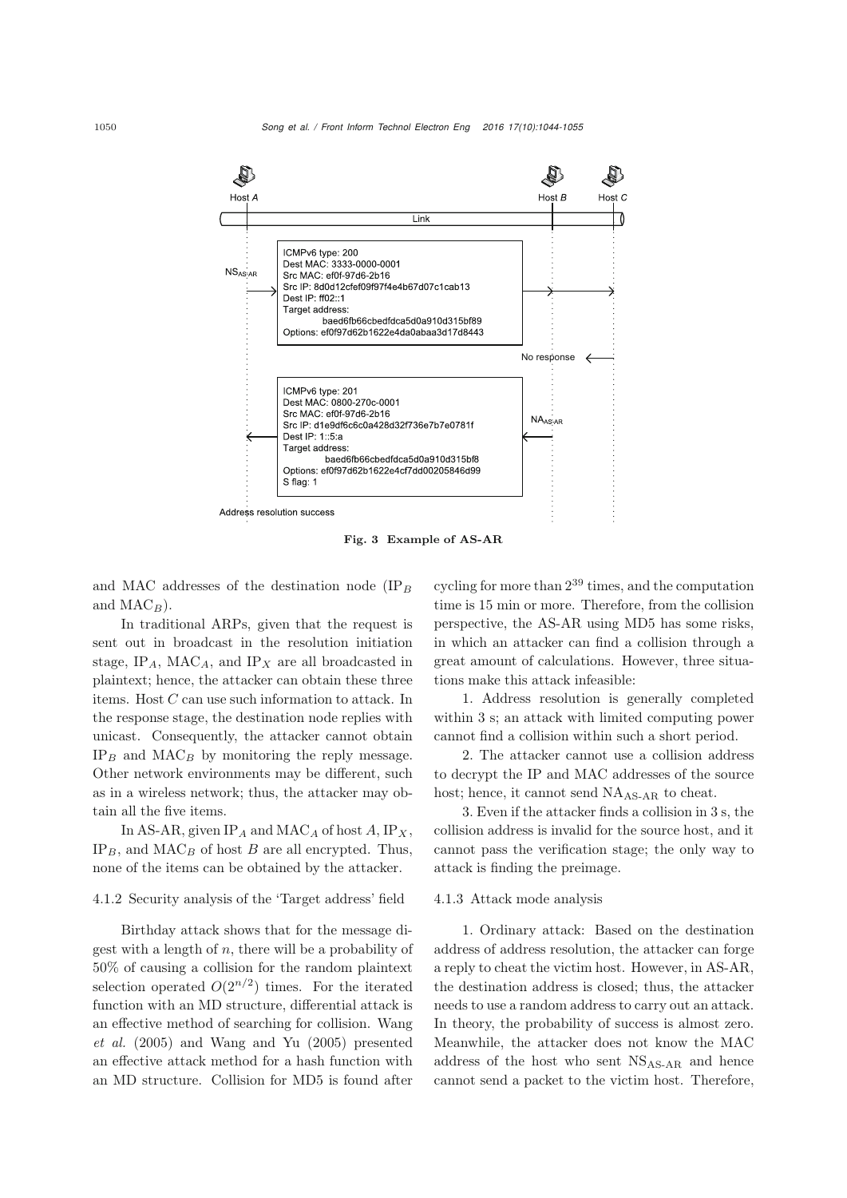

Fig. 3 Example of AS-AR

and MAC addresses of the destination node (IP*<sup>B</sup>* and  $MAC_B$ ).

In traditional ARPs, given that the request is sent out in broadcast in the resolution initiation stage, IP*A*, MAC*A*, and IP*<sup>X</sup>* are all broadcasted in plaintext; hence, the attacker can obtain these three items. Host *C* can use such information to attack. In the response stage, the destination node replies with unicast. Consequently, the attacker cannot obtain  $IP_B$  and  $MAC_B$  by monitoring the reply message. Other network environments may be different, such as in a wireless network; thus, the attacker may obtain all the five items.

In AS-AR, given  $IP_A$  and  $MAC_A$  of host  $A$ ,  $IP_X$ ,  $IP_B$ , and  $MAC_B$  of host *B* are all encrypted. Thus, none of the items can be obtained by the attacker.

#### 4.1.2 Security analysis of the 'Target address' field

Birthday attack shows that for the message digest with a length of *n*, there will be a probability of 50% of causing a collision for the random plaintext selection operated  $O(2^{n/2})$  times. For the iterated function with an MD structure, differential attack is an e[ffective](#page-11-10) [method](#page-11-10) [of](#page-11-10) [searching](#page-11-10) [for](#page-11-10) [collision.](#page-11-10) Wang *et al.* [\(2005\)](#page-11-10) and [Wang and Yu](#page-11-11) [\(2005](#page-11-11)) presented an effective attack method for a hash function with an MD structure. Collision for MD5 is found after

cycling for more than  $2^{39}$  times, and the computation time is 15 min or more. Therefore, from the collision perspective, the AS-AR using MD5 has some risks, in which an attacker can find a collision through a great amount of calculations. However, three situations make this attack infeasible:

1. Address resolution is generally completed within 3 s; an attack with limited computing power cannot find a collision within such a short period.

2. The attacker cannot use a collision address to decrypt the IP and MAC addresses of the source host; hence, it cannot send NA<sub>AS-AR</sub> to cheat.

3. Even if the attacker finds a collision in 3 s, the collision address is invalid for the source host, and it cannot pass the verification stage; the only way to attack is finding the preimage.

#### 4.1.3 Attack mode analysis

1. Ordinary attack: Based on the destination address of address resolution, the attacker can forge a reply to cheat the victim host. However, in AS-AR, the destination address is closed; thus, the attacker needs to use a random address to carry out an attack. In theory, the probability of success is almost zero. Meanwhile, the attacker does not know the MAC address of the host who sent NSAS-AR and hence cannot send a packet to the victim host. Therefore,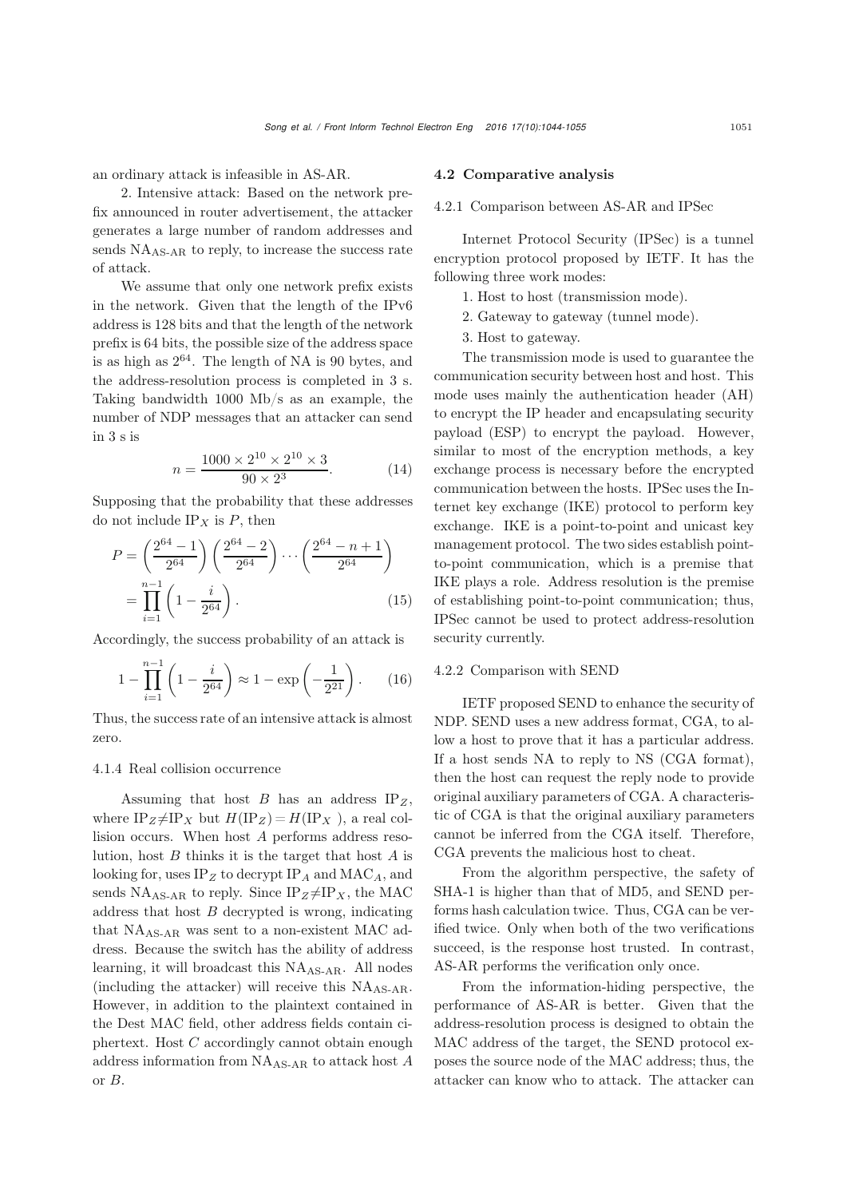an ordinary attack is infeasible in AS-AR.

2. Intensive attack: Based on the network prefix announced in router advertisement, the attacker generates a large number of random addresses and sends  $NA<sub>AS-AR</sub>$  to reply, to increase the success rate of attack.

We assume that only one network prefix exists in the network. Given that the length of the IPv6 address is 128 bits and that the length of the network prefix is 64 bits, the possible size of the address space is as high as  $2^{64}$ . The length of NA is 90 bytes, and the address-resolution process is completed in 3 s. Taking bandwidth 1000 Mb/s as an example, the number of NDP messages that an attacker can send in 3 s is

$$
n = \frac{1000 \times 2^{10} \times 2^{10} \times 3}{90 \times 2^3}.
$$
 (14)

Supposing that the probability that these addresses do not include  $IP_X$  is  $P$ , then

$$
P = \left(\frac{2^{64} - 1}{2^{64}}\right) \left(\frac{2^{64} - 2}{2^{64}}\right) \cdots \left(\frac{2^{64} - n + 1}{2^{64}}\right)
$$

$$
= \prod_{i=1}^{n-1} \left(1 - \frac{i}{2^{64}}\right). \tag{15}
$$

Accordingly, the success probability of an attack is

$$
1 - \prod_{i=1}^{n-1} \left( 1 - \frac{i}{2^{64}} \right) \approx 1 - \exp\left( -\frac{1}{2^{21}} \right). \tag{16}
$$

Thus, the success rate of an intensive attack is almost zero.

#### 4.1.4 Real collision occurrence

Assuming that host *B* has an address IP*Z*, where  $IP_Z \neq IP_X$  but  $H(IP_Z) = H(IP_X)$ , a real collision occurs. When host *A* performs address resolution, host *B* thinks it is the target that host *A* is looking for, uses IP*<sup>Z</sup>* to decrypt IP*<sup>A</sup>* and MAC*A*, and sends  $NA<sub>AS-AR</sub>$  to reply. Since  $IP_Z \neq IP_X$ , the MAC address that host *B* decrypted is wrong, indicating that  $NA<sub>AS-AB</sub>$  was sent to a non-existent MAC address. Because the switch has the ability of address learning, it will broadcast this NA<sub>AS-AR</sub>. All nodes (including the attacker) will receive this  $NA<sub>AS-AR</sub>$ . However, in addition to the plaintext contained in the Dest MAC field, other address fields contain ciphertext. Host *C* accordingly cannot obtain enough address information from NAAS-AR to attack host *A* or *B*.

#### 4.2 Comparative analysis

#### 4.2.1 Comparison between AS-AR and IPSec

Internet Protocol Security (IPSec) is a tunnel encryption protocol proposed by IETF. It has the following three work modes:

- 1. Host to host (transmission mode).
- 2. Gateway to gateway (tunnel mode).
- 3. Host to gateway.

The transmission mode is used to guarantee the communication security between host and host. This mode uses mainly the authentication header (AH) to encrypt the IP header and encapsulating security payload (ESP) to encrypt the payload. However, similar to most of the encryption methods, a key exchange process is necessary before the encrypted communication between the hosts. IPSec uses the Internet key exchange (IKE) protocol to perform key exchange. IKE is a point-to-point and unicast key management protocol. The two sides establish pointto-point communication, which is a premise that IKE plays a role. Address resolution is the premise of establishing point-to-point communication; thus, IPSec cannot be used to protect address-resolution security currently.

## 4.2.2 Comparison with SEND

IETF proposed SEND to enhance the security of NDP. SEND uses a new address format, CGA, to allow a host to prove that it has a particular address. If a host sends NA to reply to NS (CGA format), then the host can request the reply node to provide original auxiliary parameters of CGA. A characteristic of CGA is that the original auxiliary parameters cannot be inferred from the CGA itself. Therefore, CGA prevents the malicious host to cheat.

From the algorithm perspective, the safety of SHA-1 is higher than that of MD5, and SEND performs hash calculation twice. Thus, CGA can be verified twice. Only when both of the two verifications succeed, is the response host trusted. In contrast, AS-AR performs the verification only once.

From the information-hiding perspective, the performance of AS-AR is better. Given that the address-resolution process is designed to obtain the MAC address of the target, the SEND protocol exposes the source node of the MAC address; thus, the attacker can know who to attack. The attacker can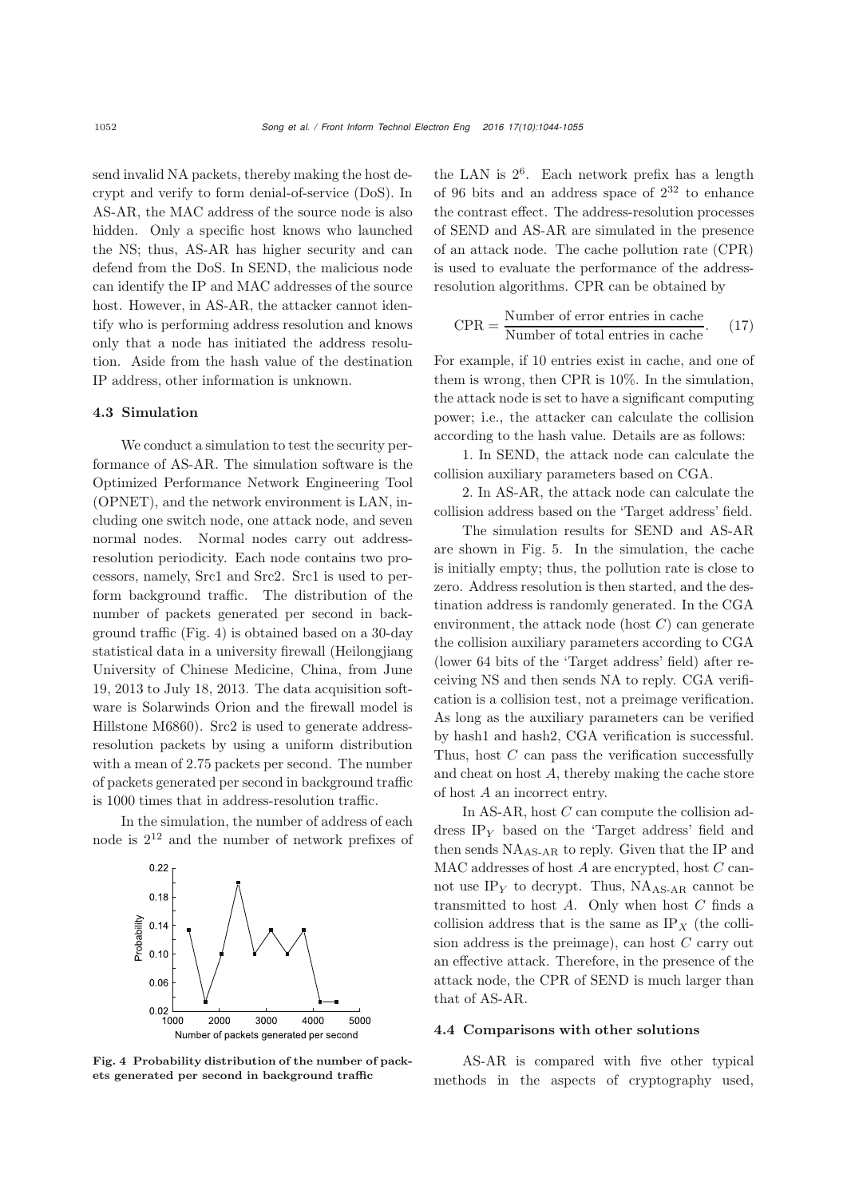send invalid NA packets, thereby making the host decrypt and verify to form denial-of-service (DoS). In AS-AR, the MAC address of the source node is also hidden. Only a specific host knows who launched the NS; thus, AS-AR has higher security and can defend from the DoS. In SEND, the malicious node can identify the IP and MAC addresses of the source host. However, in AS-AR, the attacker cannot identify who is performing address resolution and knows only that a node has initiated the address resolution. Aside from the hash value of the destination IP address, other information is unknown.

#### 4.3 Simulation

We conduct a simulation to test the security performance of AS-AR. The simulation software is the Optimized Performance Network Engineering Tool (OPNET), and the network environment is LAN, including one switch node, one attack node, and seven normal nodes. Normal nodes carry out addressresolution periodicity. Each node contains two processors, namely, Src1 and Src2. Src1 is used to perform background traffic. The distribution of the number of packets generated per second in background traffic (Fig. 4) is obtained based on a 30-day statistical data in a university firewall (Heilongjiang University of Chinese Medicine, China, from June 19, 2013 to July 18, 2013. The data acquisition software is Solarwinds Orion and the firewall model is Hillstone M6860). Src2 is used to generate addressresolution packets by using a uniform distribution with a mean of 2.75 packets per second. The number of packets generated per second in background traffic is 1000 times that in address-resolution traffic.

In the simulation, the number of address of each node is  $2^{12}$  and the number of network prefixes of



Fig. 4 Probability distribution of the number of packets generated per second in background traffic

the LAN is  $2^6$ . Each network prefix has a length of 96 bits and an address space of  $2^{32}$  to enhance the contrast effect. The address-resolution processes of SEND and AS-AR are simulated in the presence of an attack node. The cache pollution rate (CPR) is used to evaluate the performance of the addressresolution algorithms. CPR can be obtained by

$$
CPR = \frac{Number\ of\ error\ entries\ in\ cache}{Number\ of\ total\ entries\ in\ cache}.\tag{17}
$$

For example, if 10 entries exist in cache, and one of them is wrong, then CPR is 10%. In the simulation, the attack node is set to have a significant computing power; i.e., the attacker can calculate the collision according to the hash value. Details are as follows:

1. In SEND, the attack node can calculate the collision auxiliary parameters based on CGA.

2. In AS-AR, the attack node can calculate the collision address based on the 'Target address' field.

The simulation results for SEND and AS-AR are shown in Fig. 5. In the simulation, the cache is initially empty; thus, the pollution rate is close to zero. Address resolution is then started, and the destination address is randomly generated. In the CGA environment, the attack node (host *C*) can generate the collision auxiliary parameters according to CGA (lower 64 bits of the 'Target address' field) after receiving NS and then sends NA to reply. CGA verification is a collision test, not a preimage verification. As long as the auxiliary parameters can be verified by hash1 and hash2, CGA verification is successful. Thus, host *C* can pass the verification successfully and cheat on host *A*, thereby making the cache store of host *A* an incorrect entry.

In AS-AR, host *C* can compute the collision address IP*<sup>Y</sup>* based on the 'Target address' field and then sends  $NA<sub>AS-AB</sub>$  to reply. Given that the IP and MAC addresses of host *A* are encrypted, host *C* cannot use  $IP<sub>Y</sub>$  to decrypt. Thus,  $NA<sub>AS-AR</sub>$  cannot be transmitted to host *A*. Only when host *C* finds a collision address that is the same as  $IP<sub>X</sub>$  (the collision address is the preimage), can host *C* carry out an effective attack. Therefore, in the presence of the attack node, the CPR of SEND is much larger than that of AS-AR.

#### 4.4 Comparisons with other solutions

AS-AR is compared with five other typical methods in the aspects of cryptography used,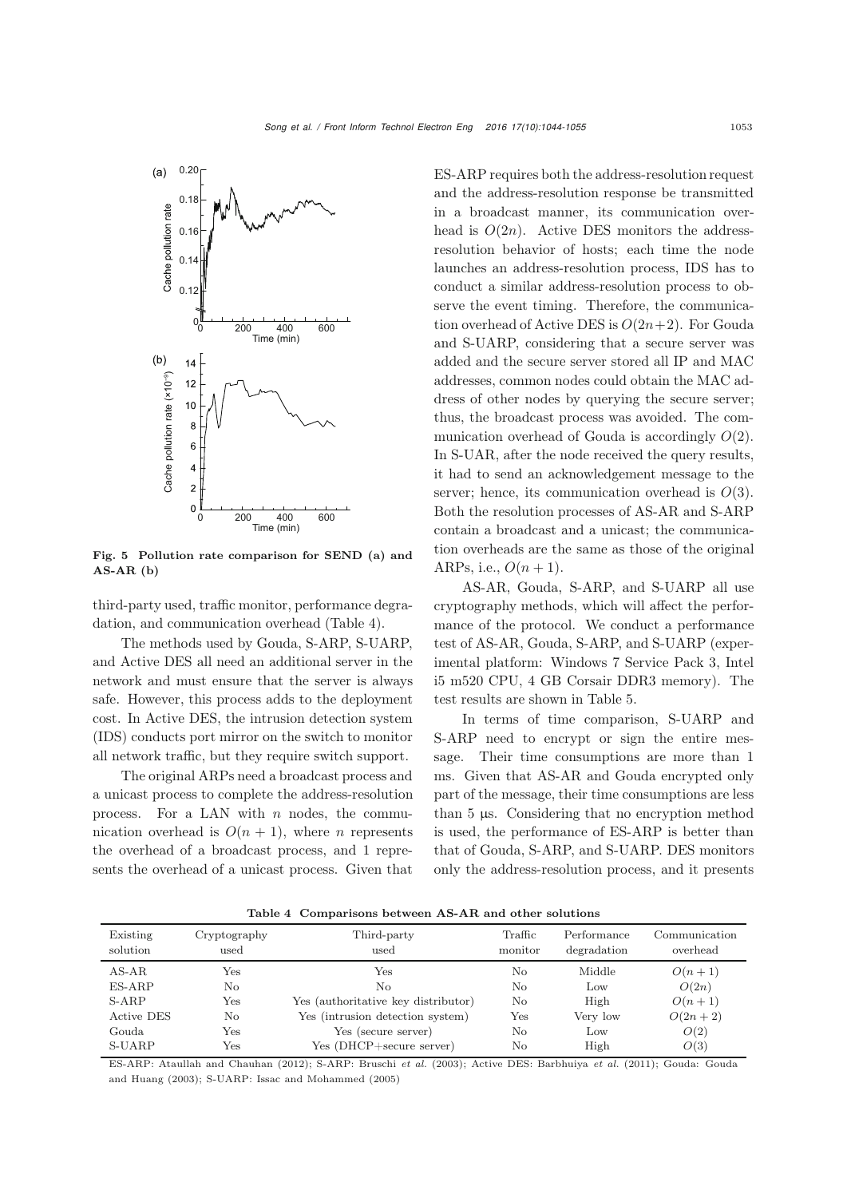

Fig. 5 Pollution rate comparison for SEND (a) and  $AS-AR$  (b)

third-party used, traffic monitor, performance degradation, and communication overhead (Table 4).

The methods used by Gouda, S-ARP, S-UARP, and Active DES all need an additional server in the network and must ensure that the server is always safe. However, this process adds to the deployment cost. In Active DES, the intrusion detection system (IDS) conducts port mirror on the switch to monitor all network traffic, but they require switch support.

The original ARPs need a broadcast process and a unicast process to complete the address-resolution process. For a LAN with *n* nodes, the communication overhead is  $O(n + 1)$ , where *n* represents the overhead of a broadcast process, and 1 represents the overhead of a unicast process. Given that

ES-ARP requires both the address-resolution request and the address-resolution response be transmitted in a broadcast manner, its communication overhead is  $O(2n)$ . Active DES monitors the addressresolution behavior of hosts; each time the node launches an address-resolution process, IDS has to conduct a similar address-resolution process to observe the event timing. Therefore, the communication overhead of Active DES is  $O(2n+2)$ . For Gouda and S-UARP, considering that a secure server was added and the secure server stored all IP and MAC addresses, common nodes could obtain the MAC address of other nodes by querying the secure server; thus, the broadcast process was avoided. The communication overhead of Gouda is accordingly *O*(2). In S-UAR, after the node received the query results, it had to send an acknowledgement message to the server; hence, its communication overhead is *O*(3). Both the resolution processes of AS-AR and S-ARP contain a broadcast and a unicast; the communication overheads are the same as those of the original ARPs, i.e.,  $O(n+1)$ .

AS-AR, Gouda, S-ARP, and S-UARP all use cryptography methods, which will affect the performance of the protocol. We conduct a performance test of AS-AR, Gouda, S-ARP, and S-UARP (experimental platform: Windows 7 Service Pack 3, Intel i5 m520 CPU, 4 GB Corsair DDR3 memory). The test results are shown in Table 5.

In terms of time comparison, S-UARP and S-ARP need to encrypt or sign the entire message. Their time consumptions are more than 1 ms. Given that AS-AR and Gouda encrypted only part of the message, their time consumptions are less than 5 µs. Considering that no encryption method is used, the performance of ES-ARP is better than that of Gouda, S-ARP, and S-UARP. DES monitors only the address-resolution process, and it presents

Table 4 Comparisons between AS-AR and other solutions

| Existing<br>solution | Cryptography<br>used | Third-party<br>used                 | Traffic<br>monitor | Performance<br>degradation | Communication<br>overhead |
|----------------------|----------------------|-------------------------------------|--------------------|----------------------------|---------------------------|
| $AS-AR$              | Yes                  | Yes                                 | No                 | Middle                     | $O(n+1)$                  |
| ES-ARP               | No                   | No                                  | No                 | Low                        | O(2n)                     |
| S-ARP                | Yes                  | Yes (authoritative key distributor) | No                 | High                       | $O(n+1)$                  |
| <b>Active DES</b>    | No                   | Yes (intrusion detection system)    | Yes                | Very low                   | $O(2n+2)$                 |
| Gouda                | Yes                  | Yes (secure server)                 | No                 | Low                        | O(2)                      |
| S-UARP               | Yes                  | Yes (DHCP+secure server)            | No                 | High                       | O(3)                      |

ES-ARP: [Ataullah and Chauhan](#page-10-11) [\(2012](#page-10-11)); S-ARP: [Bruschi](#page-10-4) *et al.* [\(2003\)](#page-10-4); Active DES: [Barbhuiya](#page-10-12) *et al.* [\(2011\)](#page-10-12); Gouda: Gouda and Huang (2003); S-UARP: [Issac and Mohammed](#page-10-6) [\(2005](#page-10-6))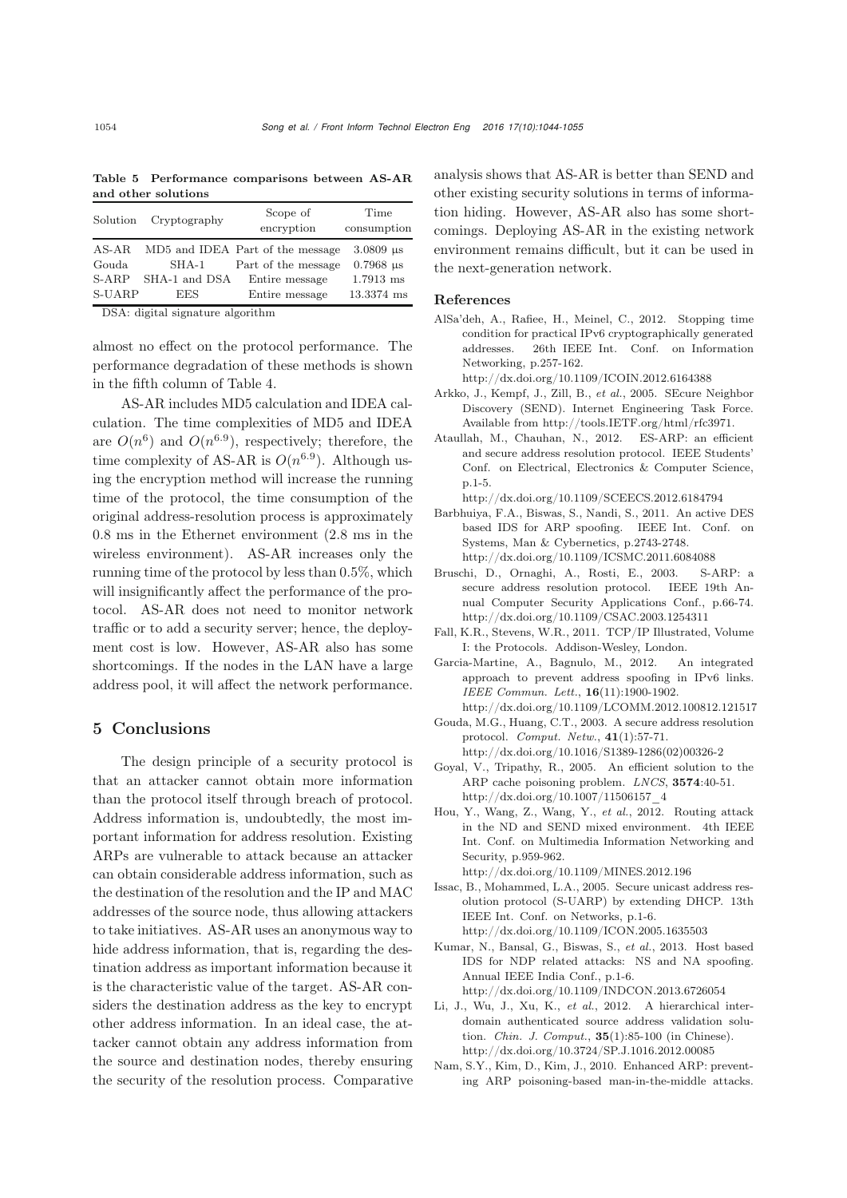Table 5 Performance comparisons between AS-AR and other solutions

| Solution | Cryptography                         | Scope of<br>encryption           | Time<br>consumption          |  |  |  |
|----------|--------------------------------------|----------------------------------|------------------------------|--|--|--|
| AS-AR    |                                      | MD5 and IDEA Part of the message | $3.0809 \text{ }\mu\text{s}$ |  |  |  |
| Gouda    | SHA-1                                | Part of the message              | $0.7968$ us                  |  |  |  |
| $S-ABP$  | SHA-1 and DSA                        | Entire message                   | $1.7913$ ms                  |  |  |  |
| S-UARP   | EES.                                 | Entire message                   | 13.3374 ms                   |  |  |  |
|          | $DCA$ , divital signature algorithms |                                  |                              |  |  |  |

DSA: digital signature algorithm

almost no effect on the protocol performance. The performance degradation of these methods is shown in the fifth column of Table 4.

AS-AR includes MD5 calculation and IDEA calculation. The time complexities of MD5 and IDEA are  $O(n^6)$  and  $O(n^{6.9})$ , respectively; therefore, the time complexity of AS-AR is  $O(n^{6.9})$ . Although using the encryption method will increase the running time of the protocol, the time consumption of the original address-resolution process is approximately 0.8 ms in the Ethernet environment (2.8 ms in the wireless environment). AS-AR increases only the running time of the protocol by less than 0.5%, which will insignificantly affect the performance of the protocol. AS-AR does not need to monitor network traffic or to add a security server; hence, the deployment cost is low. However, AS-AR also has some shortcomings. If the nodes in the LAN have a large address pool, it will affect the network performance.

# 5 Conclusions

The design principle of a security protocol is that an attacker cannot obtain more information than the protocol itself through breach of protocol. Address information is, undoubtedly, the most important information for address resolution. Existing ARPs are vulnerable to attack because an attacker can obtain considerable address information, such as the destination of the resolution and the IP and MAC addresses of the source node, thus allowing attackers to take initiatives. AS-AR uses an anonymous way to hide address information, that is, regarding the destination address as important information because it is the characteristic value of the target. AS-AR considers the destination address as the key to encrypt other address information. In an ideal case, the attacker cannot obtain any address information from the source and destination nodes, thereby ensuring the security of the resolution process. Comparative analysis shows that AS-AR is better than SEND and other existing security solutions in terms of information hiding. However, AS-AR also has some shortcomings. Deploying AS-AR in the existing network environment remains difficult, but it can be used in the next-generation network.

# References

- <span id="page-10-9"></span>AlSa'deh, A., Rafiee, H., Meinel, C., 2012. Stopping time condition for practical IPv6 cryptographically generated addresses. 26th IEEE Int. Conf. on Information Networking, p.257-162.
	- http://dx.doi.org/10.1109/ICOIN.2012.6164388
- <span id="page-10-7"></span>Arkko, J., Kempf, J., Zill, B., *et al.*, 2005. SEcure Neighbor Discovery (SEND). Internet Engineering Task Force. Available from http://tools.IETF.org/html/rfc3971.
- <span id="page-10-11"></span>Ataullah, M., Chauhan, N., 2012. ES-ARP: an efficient and secure address resolution protocol. IEEE Students' Conf. on Electrical, Electronics & Computer Science, p.1-5.
	- http://dx.doi.org/10.1109/SCEECS.2012.6184794
- <span id="page-10-12"></span>Barbhuiya, F.A., Biswas, S., Nandi, S., 2011. An active DES based IDS for ARP spoofing. IEEE Int. Conf. on Systems, Man & Cybernetics, p.2743-2748. http://dx.doi.org/10.1109/ICSMC.2011.6084088
- <span id="page-10-4"></span>Bruschi, D., Ornaghi, A., Rosti, E., 2003. S-ARP: a secure address resolution protocol. IEEE 19th Annual Computer Security Applications Conf., p.66-74. http://dx.doi.org/10.1109/CSAC.2003.1254311
- <span id="page-10-0"></span>Fall, K.R., Stevens, W.R., 2011. TCP/IP Illustrated, Volume I: the Protocols. Addison-Wesley, London.
- Garcia-Martine, A., Bagnulo, M., 2012. An integrated approach to prevent address spoofing in IPv6 links. *IEEE Commun. Lett.*, 16(11):1900-1902. http://dx.doi.org/10.1109/LCOMM.2012.100812.121517
- <span id="page-10-1"></span>Gouda, M.G., Huang, C.T., 2003. A secure address resolution protocol. *Comput. Netw.*, 41(1):57-71.
- <span id="page-10-5"></span>http://dx.doi.org/10.1016/S1389-1286(02)00326-2 Goyal, V., Tripathy, R., 2005. An efficient solution to the ARP cache poisoning problem. *LNCS*, 3574:40-51. http://dx.doi.org/10.1007/11506157\_4
- <span id="page-10-8"></span>Hou, Y., Wang, Z., Wang, Y., *et al.*, 2012. Routing attack in the ND and SEND mixed environment. 4th IEEE Int. Conf. on Multimedia Information Networking and Security, p.959-962.
	- http://dx.doi.org/10.1109/MINES.2012.196
- <span id="page-10-6"></span>Issac, B., Mohammed, L.A., 2005. Secure unicast address resolution protocol (S-UARP) by extending DHCP. 13th IEEE Int. Conf. on Networks, p.1-6. http://dx.doi.org/10.1109/ICON.2005.1635503
- <span id="page-10-3"></span>Kumar, N., Bansal, G., Biswas, S., *et al.*, 2013. Host based IDS for NDP related attacks: NS and NA spoofing. Annual IEEE India Conf., p.1-6. http://dx.doi.org/10.1109/INDCON.2013.6726054
- <span id="page-10-10"></span>Li, J., Wu, J., Xu, K., *et al.*, 2012. A hierarchical interdomain authenticated source address validation solution. *Chin. J. Comput.*, 35(1):85-100 (in Chinese). http://dx.doi.org/10.3724/SP.J.1016.2012.00085
- <span id="page-10-2"></span>Nam, S.Y., Kim, D., Kim, J., 2010. Enhanced ARP: preventing ARP poisoning-based man-in-the-middle attacks.